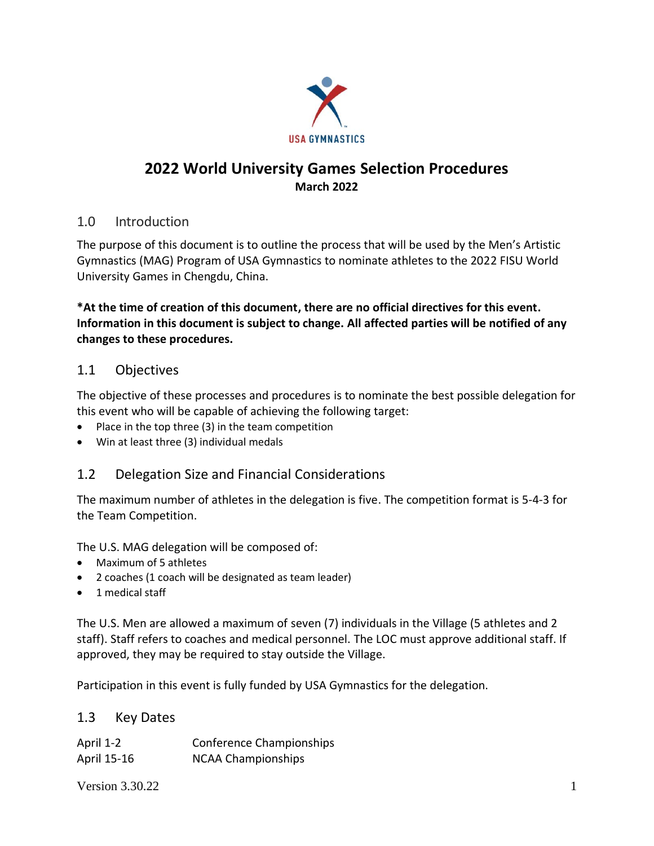

# **2022 World University Games Selection Procedures March 2022**

### 1.0 Introduction

The purpose of this document is to outline the process that will be used by the Men's Artistic Gymnastics (MAG) Program of USA Gymnastics to nominate athletes to the 2022 FISU World University Games in Chengdu, China.

**\*At the time of creation of this document, there are no official directives for this event. Information in this document is subject to change. All affected parties will be notified of any changes to these procedures.**

### 1.1 Objectives

The objective of these processes and procedures is to nominate the best possible delegation for this event who will be capable of achieving the following target:

- Place in the top three (3) in the team competition
- Win at least three (3) individual medals

## 1.2 Delegation Size and Financial Considerations

The maximum number of athletes in the delegation is five. The competition format is 5-4-3 for the Team Competition.

The U.S. MAG delegation will be composed of:

- Maximum of 5 athletes
- 2 coaches (1 coach will be designated as team leader)
- 1 medical staff

The U.S. Men are allowed a maximum of seven (7) individuals in the Village (5 athletes and 2 staff). Staff refers to coaches and medical personnel. The LOC must approve additional staff. If approved, they may be required to stay outside the Village.

Participation in this event is fully funded by USA Gymnastics for the delegation.

### 1.3 Key Dates

| April 1-2   | Conference Championships  |
|-------------|---------------------------|
| April 15-16 | <b>NCAA Championships</b> |

Version  $3.30.22$  1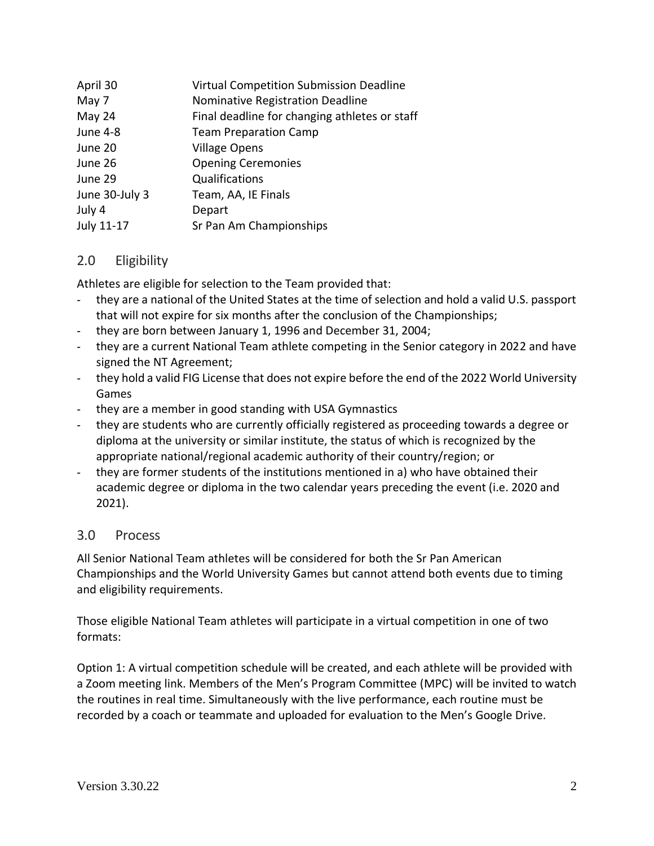| April 30       | Virtual Competition Submission Deadline       |
|----------------|-----------------------------------------------|
| May 7          | Nominative Registration Deadline              |
| May 24         | Final deadline for changing athletes or staff |
| June 4-8       | <b>Team Preparation Camp</b>                  |
| June 20        | <b>Village Opens</b>                          |
| June 26        | <b>Opening Ceremonies</b>                     |
| June 29        | Qualifications                                |
| June 30-July 3 | Team, AA, IE Finals                           |
| July 4         | Depart                                        |
| July 11-17     | Sr Pan Am Championships                       |

### 2.0 Eligibility

Athletes are eligible for selection to the Team provided that:

- they are a national of the United States at the time of selection and hold a valid U.S. passport that will not expire for six months after the conclusion of the Championships;
- they are born between January 1, 1996 and December 31, 2004;
- they are a current National Team athlete competing in the Senior category in 2022 and have signed the NT Agreement;
- they hold a valid FIG License that does not expire before the end of the 2022 World University Games
- they are a member in good standing with USA Gymnastics
- they are students who are currently officially registered as proceeding towards a degree or diploma at the university or similar institute, the status of which is recognized by the appropriate national/regional academic authority of their country/region; or
- they are former students of the institutions mentioned in a) who have obtained their academic degree or diploma in the two calendar years preceding the event (i.e. 2020 and 2021).

### 3.0 Process

All Senior National Team athletes will be considered for both the Sr Pan American Championships and the World University Games but cannot attend both events due to timing and eligibility requirements.

Those eligible National Team athletes will participate in a virtual competition in one of two formats:

Option 1: A virtual competition schedule will be created, and each athlete will be provided with a Zoom meeting link. Members of the Men's Program Committee (MPC) will be invited to watch the routines in real time. Simultaneously with the live performance, each routine must be recorded by a coach or teammate and uploaded for evaluation to the Men's Google Drive.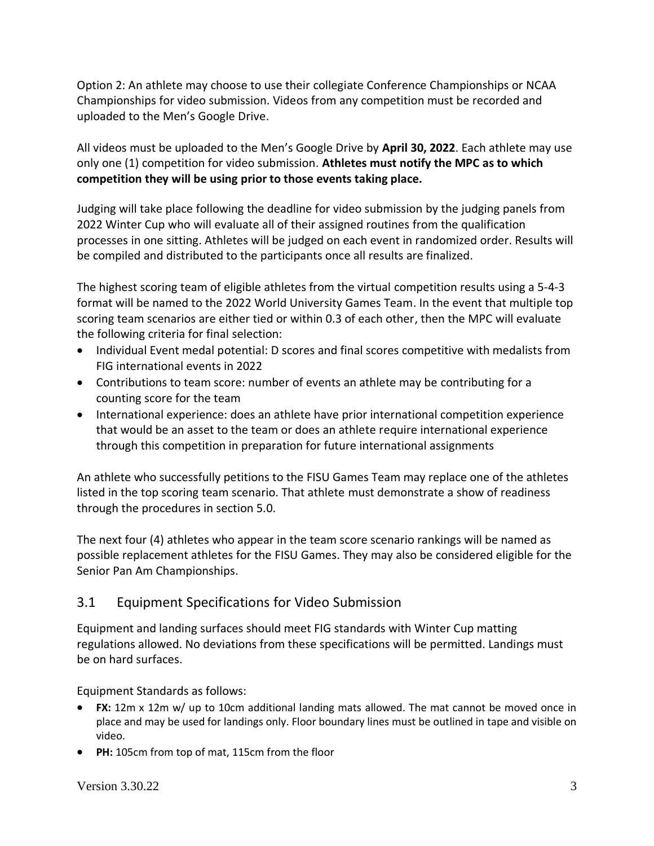Option 2: An athlete may choose to use their collegiate Conference Championships or NCAA Championships for video submission. Videos from any competition must be recorded and uploaded to the Men's Google Drive.

All videos must be uploaded to the Men's Google Drive by **April 30, 2022**. Each athlete may use only one (1) competition for video submission. **Athletes must notify the MPC as to which competition they will be using prior to those events taking place.** 

Judging will take place following the deadline for video submission by the judging panels from 2022 Winter Cup who will evaluate all of their assigned routines from the qualification processes in one sitting. Athletes will be judged on each event in randomized order. Results will be compiled and distributed to the participants once all results are finalized.

The highest scoring team of eligible athletes from the virtual competition results using a 5-4-3 format will be named to the 2022 World University Games Team. In the event that multiple top scoring team scenarios are either tied or within 0.3 of each other, then the MPC will evaluate the following criteria for final selection:

- Individual Event medal potential: D scores and final scores competitive with medalists from FIG international events in 2022
- Contributions to team score: number of events an athlete may be contributing for a counting score for the team
- International experience: does an athlete have prior international competition experience that would be an asset to the team or does an athlete require international experience through this competition in preparation for future international assignments

An athlete who successfully petitions to the FISU Games Team may replace one of the athletes listed in the top scoring team scenario. That athlete must demonstrate a show of readiness through the procedures in section 5.0.

The next four (4) athletes who appear in the team score scenario rankings will be named as possible replacement athletes for the FISU Games. They may also be considered eligible for the Senior Pan Am Championships.

## 3.1 Equipment Specifications for Video Submission

Equipment and landing surfaces should meet FIG standards with Winter Cup matting regulations allowed. No deviations from these specifications will be permitted. Landings must be on hard surfaces.

Equipment Standards as follows:

- **FX:** 12m x 12m w/ up to 10cm additional landing mats allowed. The mat cannot be moved once in place and may be used for landings only. Floor boundary lines must be outlined in tape and visible on video.
- **PH:** 105cm from top of mat, 115cm from the floor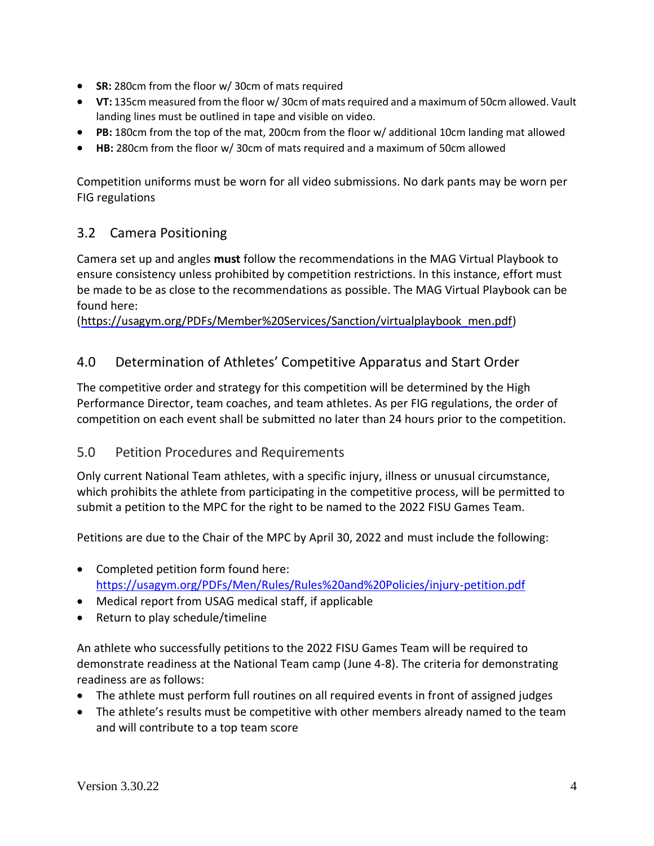- **SR:** 280cm from the floor w/ 30cm of mats required
- **VT:** 135cm measured from the floor w/ 30cm of mats required and a maximum of 50cm allowed. Vault landing lines must be outlined in tape and visible on video.
- **PB:** 180cm from the top of the mat, 200cm from the floor w/ additional 10cm landing mat allowed
- **HB:** 280cm from the floor w/ 30cm of mats required and a maximum of 50cm allowed

Competition uniforms must be worn for all video submissions. No dark pants may be worn per FIG regulations

# 3.2 Camera Positioning

Camera set up and angles **must** follow the recommendations in the MAG Virtual Playbook to ensure consistency unless prohibited by competition restrictions. In this instance, effort must be made to be as close to the recommendations as possible. The MAG Virtual Playbook can be found here:

[\(https://usagym.org/PDFs/Member%20Services/Sanction/virtualplaybook\\_men.pdf\)](https://usagym.org/PDFs/Member%20Services/Sanction/virtualplaybook_men.pdf)

# 4.0 Determination of Athletes' Competitive Apparatus and Start Order

The competitive order and strategy for this competition will be determined by the High Performance Director, team coaches, and team athletes. As per FIG regulations, the order of competition on each event shall be submitted no later than 24 hours prior to the competition.

### 5.0 Petition Procedures and Requirements

Only current National Team athletes, with a specific injury, illness or unusual circumstance, which prohibits the athlete from participating in the competitive process, will be permitted to submit a petition to the MPC for the right to be named to the 2022 FISU Games Team.

Petitions are due to the Chair of the MPC by April 30, 2022 and must include the following:

- Completed petition form found here: <https://usagym.org/PDFs/Men/Rules/Rules%20and%20Policies/injury-petition.pdf>
- Medical report from USAG medical staff, if applicable
- Return to play schedule/timeline

An athlete who successfully petitions to the 2022 FISU Games Team will be required to demonstrate readiness at the National Team camp (June 4-8). The criteria for demonstrating readiness are as follows:

- The athlete must perform full routines on all required events in front of assigned judges
- The athlete's results must be competitive with other members already named to the team and will contribute to a top team score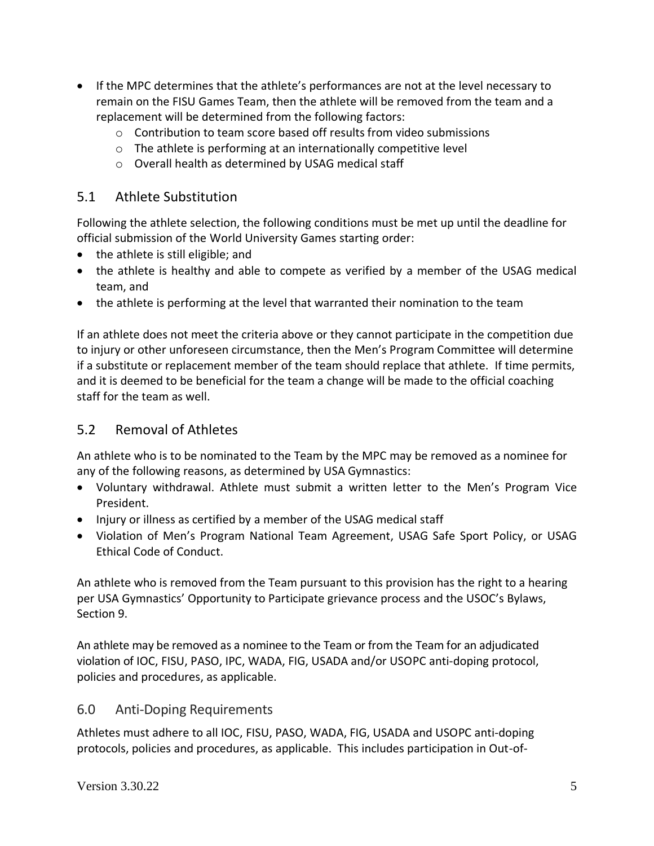- If the MPC determines that the athlete's performances are not at the level necessary to remain on the FISU Games Team, then the athlete will be removed from the team and a replacement will be determined from the following factors:
	- $\circ$  Contribution to team score based off results from video submissions
	- o The athlete is performing at an internationally competitive level
	- o Overall health as determined by USAG medical staff

#### 5.1 Athlete Substitution

Following the athlete selection, the following conditions must be met up until the deadline for official submission of the World University Games starting order:

- the athlete is still eligible; and
- the athlete is healthy and able to compete as verified by a member of the USAG medical team, and
- the athlete is performing at the level that warranted their nomination to the team

If an athlete does not meet the criteria above or they cannot participate in the competition due to injury or other unforeseen circumstance, then the Men's Program Committee will determine if a substitute or replacement member of the team should replace that athlete. If time permits, and it is deemed to be beneficial for the team a change will be made to the official coaching staff for the team as well.

### 5.2 Removal of Athletes

An athlete who is to be nominated to the Team by the MPC may be removed as a nominee for any of the following reasons, as determined by USA Gymnastics:

- Voluntary withdrawal. Athlete must submit a written letter to the Men's Program Vice President.
- Injury or illness as certified by a member of the USAG medical staff
- Violation of Men's Program National Team Agreement, USAG Safe Sport Policy, or USAG Ethical Code of Conduct.

An athlete who is removed from the Team pursuant to this provision has the right to a hearing per USA Gymnastics' Opportunity to Participate grievance process and the USOC's Bylaws, Section 9.

An athlete may be removed as a nominee to the Team or from the Team for an adjudicated violation of IOC, FISU, PASO, IPC, WADA, FIG, USADA and/or USOPC anti-doping protocol, policies and procedures, as applicable.

### 6.0 Anti-Doping Requirements

Athletes must adhere to all IOC, FISU, PASO, WADA, FIG, USADA and USOPC anti-doping protocols, policies and procedures, as applicable. This includes participation in Out-of